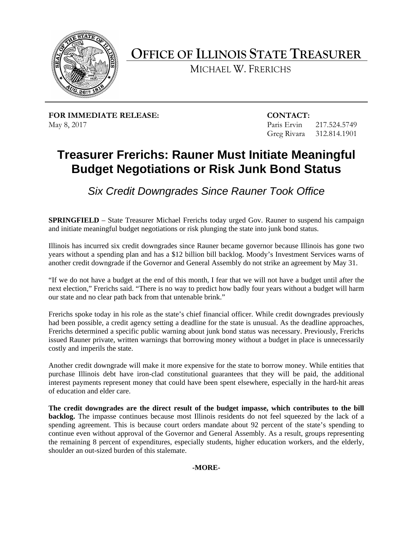

**OFFICE OF ILLINOIS STATE TREASURER** 

MICHAEL W. FRERICHS

**FOR IMMEDIATE RELEASE: CONTACT:** May 8, 2017 Paris Ervin 217.524.5749

Greg Rivara 312.814.1901

## **Treasurer Frerichs: Rauner Must Initiate Meaningful Budget Negotiations or Risk Junk Bond Status**

*Six Credit Downgrades Since Rauner Took Office* 

 **SPRINGFIELD** – State Treasurer Michael Frerichs today urged Gov. Rauner to suspend his campaign and initiate meaningful budget negotiations or risk plunging the state into junk bond status.

 another credit downgrade if the Governor and General Assembly do not strike an agreement by May 31. Illinois has incurred six credit downgrades since Rauner became governor because Illinois has gone two years without a spending plan and has a \$12 billion bill backlog. Moody's Investment Services warns of

 "If we do not have a budget at the end of this month, I fear that we will not have a budget until after the next election," Frerichs said. "There is no way to predict how badly four years without a budget will harm our state and no clear path back from that untenable brink."

 had been possible, a credit agency setting a deadline for the state is unusual. As the deadline approaches, Frerichs spoke today in his role as the state's chief financial officer. While credit downgrades previously Frerichs determined a specific public warning about junk bond status was necessary. Previously, Frerichs issued Rauner private, written warnings that borrowing money without a budget in place is unnecessarily costly and imperils the state.

 Another credit downgrade will make it more expensive for the state to borrow money. While entities that purchase Illinois debt have iron-clad constitutional guarantees that they will be paid, the additional interest payments represent money that could have been spent elsewhere, especially in the hard-hit areas of education and elder care.

 continue even without approval of the Governor and General Assembly. As a result, groups representing **The credit downgrades are the direct result of the budget impasse, which contributes to the bill backlog.** The impasse continues because most Illinois residents do not feel squeezed by the lack of a spending agreement. This is because court orders mandate about 92 percent of the state's spending to the remaining 8 percent of expenditures, especially students, higher education workers, and the elderly, shoulder an out-sized burden of this stalemate.

**-MORE**